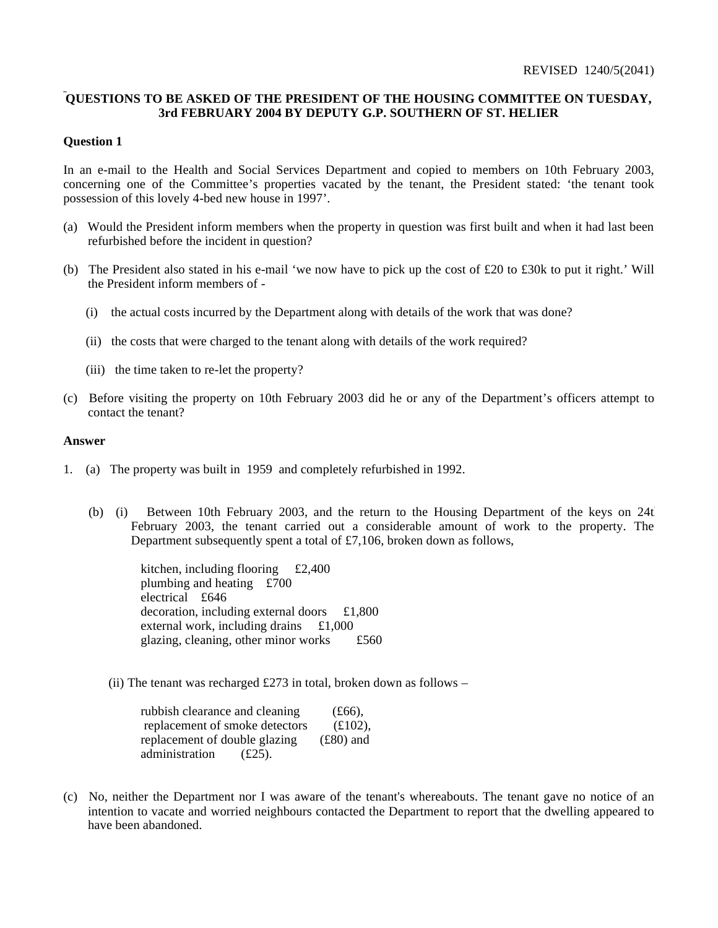## **QUESTIONS TO BE ASKED OF THE PRESIDENT OF THE HOUSING COMMITTEE ON TUESDAY, 3rd FEBRUARY 2004 BY DEPUTY G.P. SOUTHERN OF ST. HELIER**

## **Question 1**

In an e-mail to the Health and Social Services Department and copied to members on 10th February 2003, concerning one of the Committee's properties vacated by the tenant, the President stated: 'the tenant took possession of this lovely 4-bed new house in 1997'.

- (a) Would the President inform members when the property in question was first built and when it had last been refurbished before the incident in question?
- (b) The President also stated in his e-mail 'we now have to pick up the cost of £20 to £30k to put it right.' Will the President inform members of -
	- (i) the actual costs incurred by the Department along with details of the work that was done?
	- (ii) the costs that were charged to the tenant along with details of the work required?
	- (iii) the time taken to re-let the property?
- (c) Before visiting the property on 10th February 2003 did he or any of the Department's officers attempt to contact the tenant?

#### **Answer**

- 1.(a) The property was built in 1959 and completely refurbished in 1992.
	- (b) (i) Between 10th February 2003, and the return to the Housing Department of the keys on  $24t$ February 2003, the tenant carried out a considerable amount of work to the property. The Department subsequently spent a total of £7,106, broken down as follows,

 kitchen, including flooring £2,400 plumbing and heating £700 electrical £646 decoration, including external doors £1,800 external work, including drains £1,000 glazing, cleaning, other minor works £560

(ii) The tenant was recharged £273 in total, broken down as follows –

| rubbish clearance and cleaning | $(f66)$ ,   |
|--------------------------------|-------------|
| replacement of smoke detectors | $(E102)$ ,  |
| replacement of double glazing  | $(E80)$ and |
| administration<br>$(E25)$ .    |             |

(c) No, neither the Department nor I was aware of the tenant's whereabouts. The tenant gave no notice of an intention to vacate and worried neighbours contacted the Department to report that the dwelling appeared to have been abandoned.